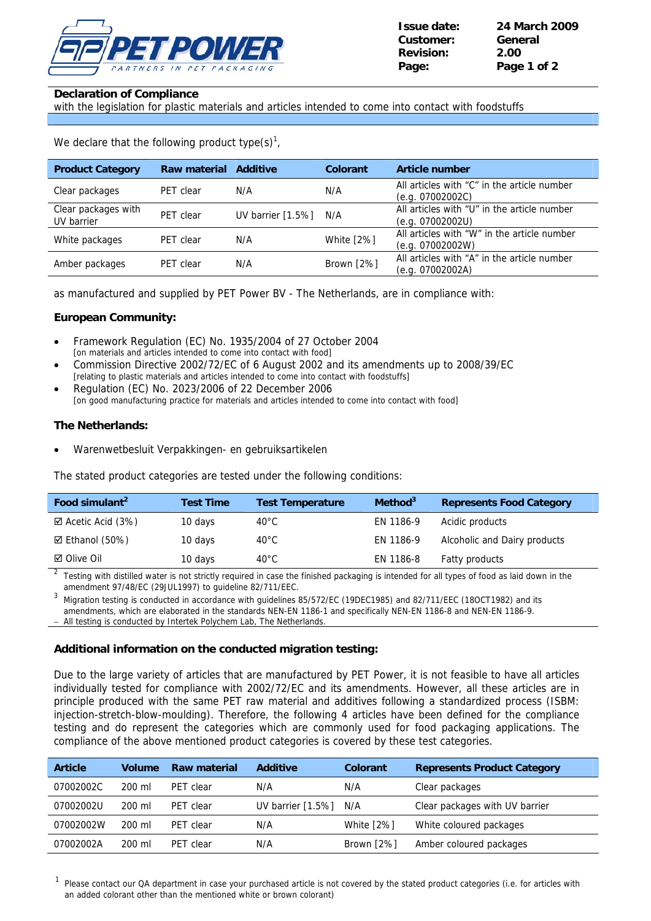

# **Declaration of Compliance**

with the legislation for plastic materials and articles intended to come into contact with foodstuffs

We declare that the following product type(s)<sup>1</sup>,

| <b>Product Category</b>           | <b>Raw material</b> | Additive             | Colorant   | <b>Article number</b>                                           |
|-----------------------------------|---------------------|----------------------|------------|-----------------------------------------------------------------|
| Clear packages                    | PET clear           | N/A                  | N/A        | All articles with "C" in the article number<br>(e.q. 07002002C) |
| Clear packages with<br>UV barrier | PET clear           | UV barrier $[1.5\%]$ | N/A        | All articles with "U" in the article number<br>(e.q. 07002002U) |
| White packages                    | PET clear           | N/A                  | White [2%] | All articles with "W" in the article number<br>(e.g. 07002002W) |
| Amber packages                    | PET clear           | N/A                  | Brown [2%] | All articles with "A" in the article number<br>(e.q. 07002002A) |

as manufactured and supplied by PET Power BV - The Netherlands, are in compliance with:

# **European Community:**

- Framework Regulation (EC) No. 1935/2004 of 27 October 2004 [on materials and articles intended to come into contact with food]
- Commission Directive 2002/72/EC of 6 August 2002 and its amendments up to 2008/39/EC [relating to plastic materials and articles intended to come into contact with foodstuffs]
- Regulation (EC) No. 2023/2006 of 22 December 2006 [on good manufacturing practice for materials and articles intended to come into contact with food]

# **The Netherlands:**

• Warenwetbesluit Verpakkingen- en gebruiksartikelen

The stated product categories are tested under the following conditions:

| Food simulant <sup>2</sup>   | <b>Test Time</b> | <b>Test Temperature</b> | Method <sup>3</sup> | <b>Represents Food Category</b> |
|------------------------------|------------------|-------------------------|---------------------|---------------------------------|
| $\boxtimes$ Acetic Acid (3%) | 10 days          | 40°C                    | EN 1186-9           | Acidic products                 |
| ☑ Ethanol (50%)              | 10 days          | 40°C                    | EN 1186-9           | Alcoholic and Dairy products    |
| ⊠ Olive Oil                  | 10 days          | 40°C                    | EN 1186-8           | Fatty products                  |

2 Testing with distilled water is not strictly required in case the finished packaging is intended for all types of food as laid down in the amendment 97/48/EC (29JUL1997) to guideline 82/711/EEC.

3 Migration testing is conducted in accordance with guidelines 85/572/EC (19DEC1985) and 82/711/EEC (18OCT1982) and its amendments, which are elaborated in the standards NEN-EN 1186-1 and specifically NEN-EN 1186-8 and NEN-EN 1186-9.

All testing is conducted by Intertek Polychem Lab, The Netherlands.

### **Additional information on the conducted migration testing:**

Due to the large variety of articles that are manufactured by PET Power, it is not feasible to have all articles individually tested for compliance with 2002/72/EC and its amendments. However, all these articles are in principle produced with the same PET raw material and additives following a standardized process (ISBM: injection-stretch-blow-moulding). Therefore, the following 4 articles have been defined for the compliance testing and do represent the categories which are commonly used for food packaging applications. The compliance of the above mentioned product categories is covered by these test categories.

| <b>Article</b> | <b>Volume</b> | Raw material | <b>Additive</b>      | Colorant          | <b>Represents Product Category</b> |
|----------------|---------------|--------------|----------------------|-------------------|------------------------------------|
| 07002002C      | 200 ml        | PET clear    | N/A                  | N/A               | Clear packages                     |
| 07002002U      | 200 ml        | PET clear    | UV barrier $[1.5\%]$ | N/A               | Clear packages with UV barrier     |
| 07002002W      | 200 ml        | PFT clear    | N/A                  | <b>White [2%]</b> | White coloured packages            |
| 07002002A      | 200 ml        | PET clear    | N/A                  | Brown [2%]        | Amber coloured packages            |

1 Please contact our QA department in case your purchased article is not covered by the stated product categories (i.e. for articles with an added colorant other than the mentioned white or brown colorant)